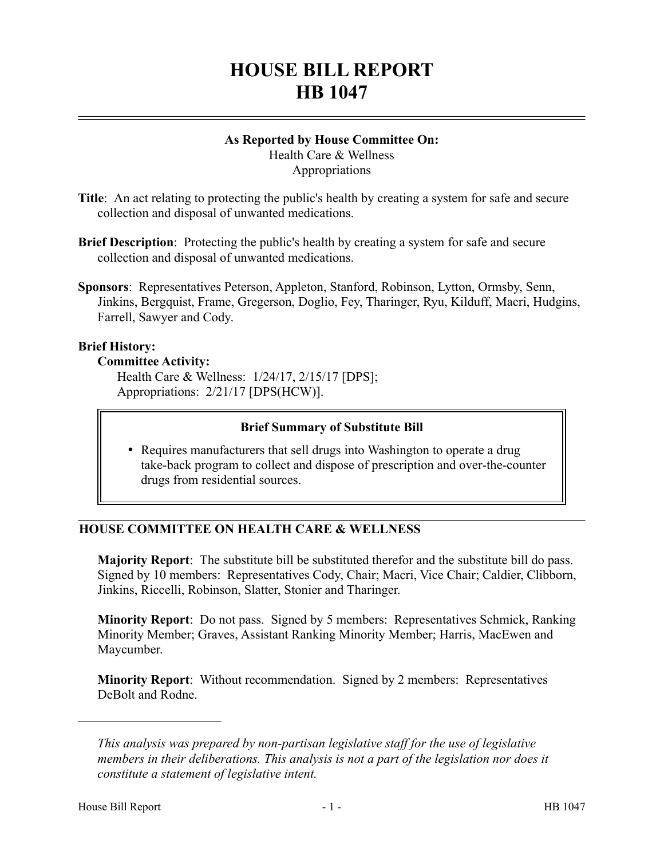# **HOUSE BILL REPORT HB 1047**

#### **As Reported by House Committee On:** Health Care & Wellness

**Appropriations** 

- **Title**: An act relating to protecting the public's health by creating a system for safe and secure collection and disposal of unwanted medications.
- **Brief Description**: Protecting the public's health by creating a system for safe and secure collection and disposal of unwanted medications.
- **Sponsors**: Representatives Peterson, Appleton, Stanford, Robinson, Lytton, Ormsby, Senn, Jinkins, Bergquist, Frame, Gregerson, Doglio, Fey, Tharinger, Ryu, Kilduff, Macri, Hudgins, Farrell, Sawyer and Cody.

# **Brief History:**

# **Committee Activity:**

Health Care & Wellness: 1/24/17, 2/15/17 [DPS]; Appropriations: 2/21/17 [DPS(HCW)].

# **Brief Summary of Substitute Bill**

• Requires manufacturers that sell drugs into Washington to operate a drug take-back program to collect and dispose of prescription and over-the-counter drugs from residential sources.

# **HOUSE COMMITTEE ON HEALTH CARE & WELLNESS**

**Majority Report**: The substitute bill be substituted therefor and the substitute bill do pass. Signed by 10 members: Representatives Cody, Chair; Macri, Vice Chair; Caldier, Clibborn, Jinkins, Riccelli, Robinson, Slatter, Stonier and Tharinger.

**Minority Report**: Do not pass. Signed by 5 members: Representatives Schmick, Ranking Minority Member; Graves, Assistant Ranking Minority Member; Harris, MacEwen and Maycumber.

**Minority Report**: Without recommendation. Signed by 2 members: Representatives DeBolt and Rodne.

––––––––––––––––––––––

*This analysis was prepared by non-partisan legislative staff for the use of legislative members in their deliberations. This analysis is not a part of the legislation nor does it constitute a statement of legislative intent.*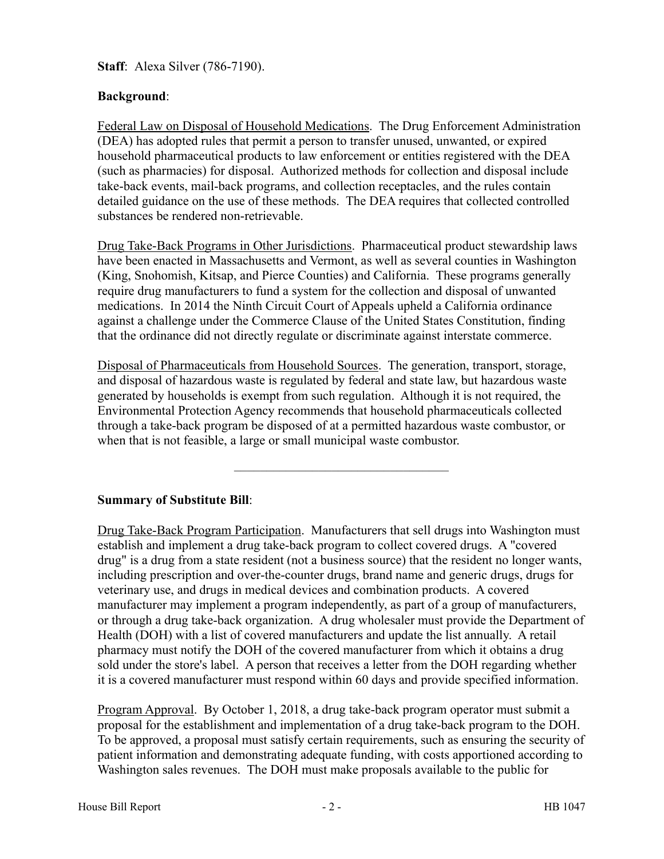**Staff**: Alexa Silver (786-7190).

# **Background**:

Federal Law on Disposal of Household Medications. The Drug Enforcement Administration (DEA) has adopted rules that permit a person to transfer unused, unwanted, or expired household pharmaceutical products to law enforcement or entities registered with the DEA (such as pharmacies) for disposal. Authorized methods for collection and disposal include take-back events, mail-back programs, and collection receptacles, and the rules contain detailed guidance on the use of these methods. The DEA requires that collected controlled substances be rendered non-retrievable.

Drug Take-Back Programs in Other Jurisdictions. Pharmaceutical product stewardship laws have been enacted in Massachusetts and Vermont, as well as several counties in Washington (King, Snohomish, Kitsap, and Pierce Counties) and California. These programs generally require drug manufacturers to fund a system for the collection and disposal of unwanted medications. In 2014 the Ninth Circuit Court of Appeals upheld a California ordinance against a challenge under the Commerce Clause of the United States Constitution, finding that the ordinance did not directly regulate or discriminate against interstate commerce.

Disposal of Pharmaceuticals from Household Sources. The generation, transport, storage, and disposal of hazardous waste is regulated by federal and state law, but hazardous waste generated by households is exempt from such regulation. Although it is not required, the Environmental Protection Agency recommends that household pharmaceuticals collected through a take-back program be disposed of at a permitted hazardous waste combustor, or when that is not feasible, a large or small municipal waste combustor.

–––––––––––––––––––––––––––––––––

# **Summary of Substitute Bill**:

Drug Take-Back Program Participation. Manufacturers that sell drugs into Washington must establish and implement a drug take-back program to collect covered drugs. A "covered drug" is a drug from a state resident (not a business source) that the resident no longer wants, including prescription and over-the-counter drugs, brand name and generic drugs, drugs for veterinary use, and drugs in medical devices and combination products. A covered manufacturer may implement a program independently, as part of a group of manufacturers, or through a drug take-back organization. A drug wholesaler must provide the Department of Health (DOH) with a list of covered manufacturers and update the list annually. A retail pharmacy must notify the DOH of the covered manufacturer from which it obtains a drug sold under the store's label. A person that receives a letter from the DOH regarding whether it is a covered manufacturer must respond within 60 days and provide specified information.

Program Approval. By October 1, 2018, a drug take-back program operator must submit a proposal for the establishment and implementation of a drug take-back program to the DOH. To be approved, a proposal must satisfy certain requirements, such as ensuring the security of patient information and demonstrating adequate funding, with costs apportioned according to Washington sales revenues. The DOH must make proposals available to the public for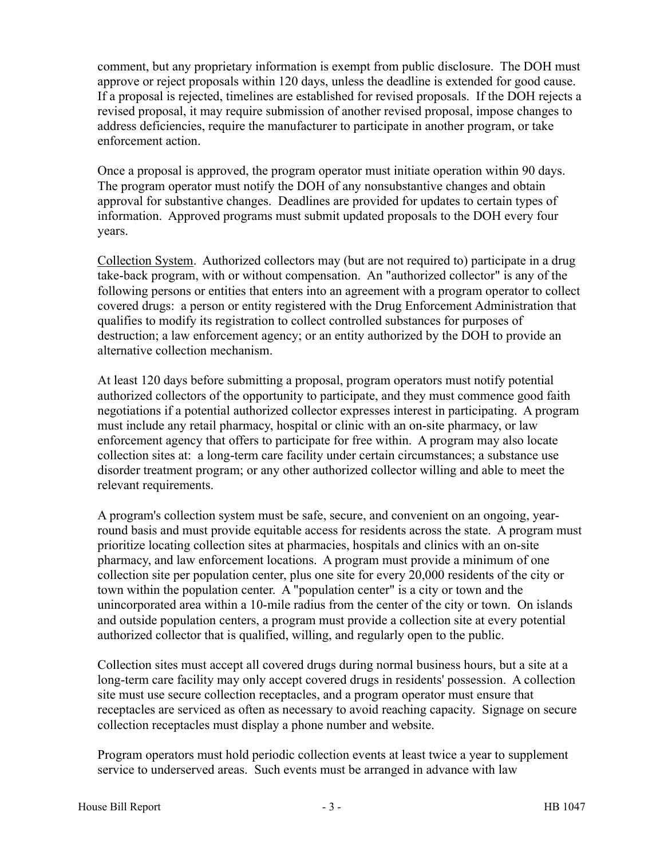comment, but any proprietary information is exempt from public disclosure. The DOH must approve or reject proposals within 120 days, unless the deadline is extended for good cause. If a proposal is rejected, timelines are established for revised proposals. If the DOH rejects a revised proposal, it may require submission of another revised proposal, impose changes to address deficiencies, require the manufacturer to participate in another program, or take enforcement action.

Once a proposal is approved, the program operator must initiate operation within 90 days. The program operator must notify the DOH of any nonsubstantive changes and obtain approval for substantive changes. Deadlines are provided for updates to certain types of information. Approved programs must submit updated proposals to the DOH every four years.

Collection System. Authorized collectors may (but are not required to) participate in a drug take-back program, with or without compensation. An "authorized collector" is any of the following persons or entities that enters into an agreement with a program operator to collect covered drugs: a person or entity registered with the Drug Enforcement Administration that qualifies to modify its registration to collect controlled substances for purposes of destruction; a law enforcement agency; or an entity authorized by the DOH to provide an alternative collection mechanism.

At least 120 days before submitting a proposal, program operators must notify potential authorized collectors of the opportunity to participate, and they must commence good faith negotiations if a potential authorized collector expresses interest in participating. A program must include any retail pharmacy, hospital or clinic with an on-site pharmacy, or law enforcement agency that offers to participate for free within. A program may also locate collection sites at: a long-term care facility under certain circumstances; a substance use disorder treatment program; or any other authorized collector willing and able to meet the relevant requirements.

A program's collection system must be safe, secure, and convenient on an ongoing, yearround basis and must provide equitable access for residents across the state. A program must prioritize locating collection sites at pharmacies, hospitals and clinics with an on-site pharmacy, and law enforcement locations. A program must provide a minimum of one collection site per population center, plus one site for every 20,000 residents of the city or town within the population center. A "population center" is a city or town and the unincorporated area within a 10-mile radius from the center of the city or town. On islands and outside population centers, a program must provide a collection site at every potential authorized collector that is qualified, willing, and regularly open to the public.

Collection sites must accept all covered drugs during normal business hours, but a site at a long-term care facility may only accept covered drugs in residents' possession. A collection site must use secure collection receptacles, and a program operator must ensure that receptacles are serviced as often as necessary to avoid reaching capacity. Signage on secure collection receptacles must display a phone number and website.

Program operators must hold periodic collection events at least twice a year to supplement service to underserved areas. Such events must be arranged in advance with law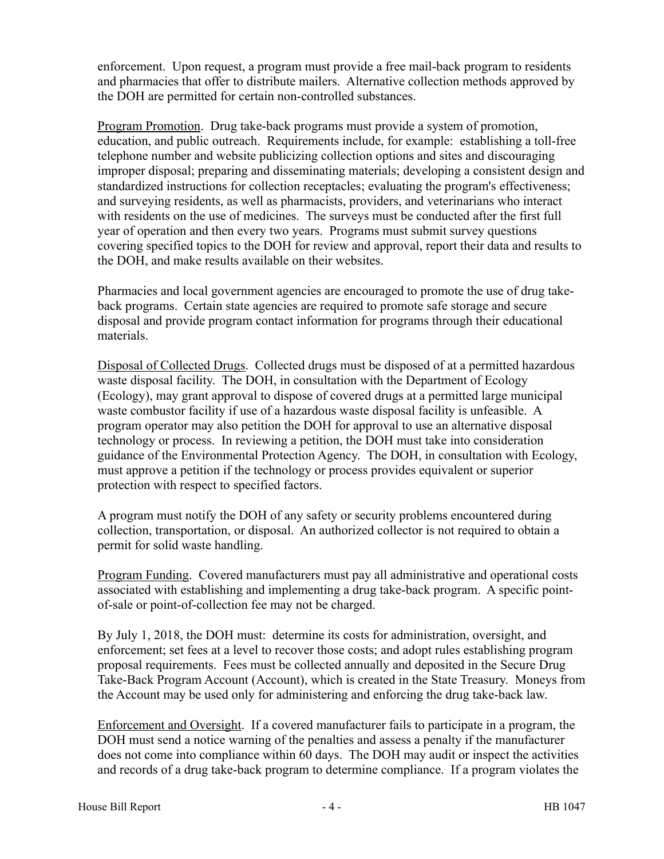enforcement. Upon request, a program must provide a free mail-back program to residents and pharmacies that offer to distribute mailers. Alternative collection methods approved by the DOH are permitted for certain non-controlled substances.

Program Promotion. Drug take-back programs must provide a system of promotion, education, and public outreach. Requirements include, for example: establishing a toll-free telephone number and website publicizing collection options and sites and discouraging improper disposal; preparing and disseminating materials; developing a consistent design and standardized instructions for collection receptacles; evaluating the program's effectiveness; and surveying residents, as well as pharmacists, providers, and veterinarians who interact with residents on the use of medicines. The surveys must be conducted after the first full year of operation and then every two years. Programs must submit survey questions covering specified topics to the DOH for review and approval, report their data and results to the DOH, and make results available on their websites.

Pharmacies and local government agencies are encouraged to promote the use of drug takeback programs. Certain state agencies are required to promote safe storage and secure disposal and provide program contact information for programs through their educational materials.

Disposal of Collected Drugs. Collected drugs must be disposed of at a permitted hazardous waste disposal facility. The DOH, in consultation with the Department of Ecology (Ecology), may grant approval to dispose of covered drugs at a permitted large municipal waste combustor facility if use of a hazardous waste disposal facility is unfeasible. A program operator may also petition the DOH for approval to use an alternative disposal technology or process. In reviewing a petition, the DOH must take into consideration guidance of the Environmental Protection Agency. The DOH, in consultation with Ecology, must approve a petition if the technology or process provides equivalent or superior protection with respect to specified factors.

A program must notify the DOH of any safety or security problems encountered during collection, transportation, or disposal. An authorized collector is not required to obtain a permit for solid waste handling.

Program Funding. Covered manufacturers must pay all administrative and operational costs associated with establishing and implementing a drug take-back program. A specific pointof-sale or point-of-collection fee may not be charged.

By July 1, 2018, the DOH must: determine its costs for administration, oversight, and enforcement; set fees at a level to recover those costs; and adopt rules establishing program proposal requirements. Fees must be collected annually and deposited in the Secure Drug Take-Back Program Account (Account), which is created in the State Treasury. Moneys from the Account may be used only for administering and enforcing the drug take-back law.

Enforcement and Oversight. If a covered manufacturer fails to participate in a program, the DOH must send a notice warning of the penalties and assess a penalty if the manufacturer does not come into compliance within 60 days. The DOH may audit or inspect the activities and records of a drug take-back program to determine compliance. If a program violates the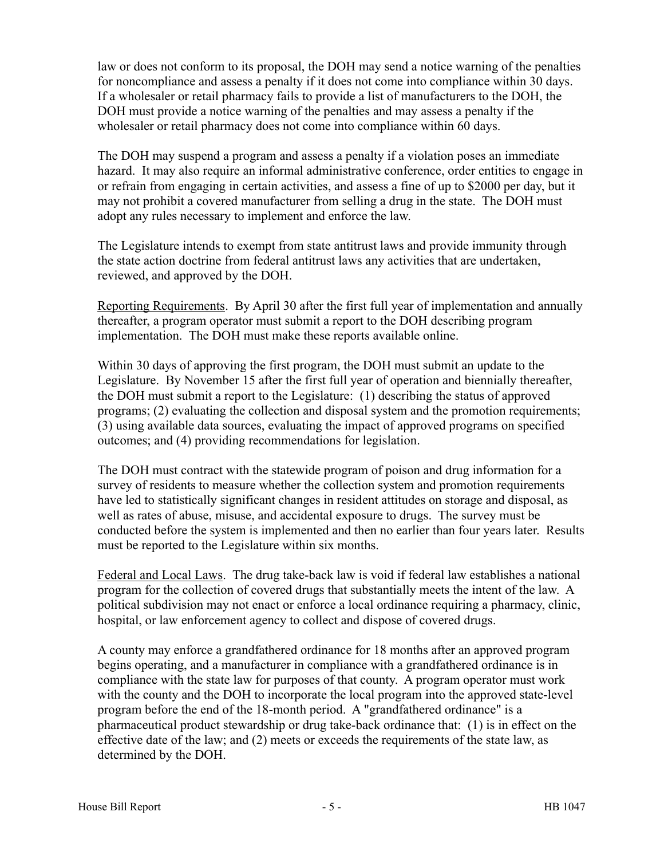law or does not conform to its proposal, the DOH may send a notice warning of the penalties for noncompliance and assess a penalty if it does not come into compliance within 30 days. If a wholesaler or retail pharmacy fails to provide a list of manufacturers to the DOH, the DOH must provide a notice warning of the penalties and may assess a penalty if the wholesaler or retail pharmacy does not come into compliance within 60 days.

The DOH may suspend a program and assess a penalty if a violation poses an immediate hazard. It may also require an informal administrative conference, order entities to engage in or refrain from engaging in certain activities, and assess a fine of up to \$2000 per day, but it may not prohibit a covered manufacturer from selling a drug in the state. The DOH must adopt any rules necessary to implement and enforce the law.

The Legislature intends to exempt from state antitrust laws and provide immunity through the state action doctrine from federal antitrust laws any activities that are undertaken, reviewed, and approved by the DOH.

Reporting Requirements. By April 30 after the first full year of implementation and annually thereafter, a program operator must submit a report to the DOH describing program implementation. The DOH must make these reports available online.

Within 30 days of approving the first program, the DOH must submit an update to the Legislature. By November 15 after the first full year of operation and biennially thereafter, the DOH must submit a report to the Legislature: (1) describing the status of approved programs; (2) evaluating the collection and disposal system and the promotion requirements; (3) using available data sources, evaluating the impact of approved programs on specified outcomes; and (4) providing recommendations for legislation.

The DOH must contract with the statewide program of poison and drug information for a survey of residents to measure whether the collection system and promotion requirements have led to statistically significant changes in resident attitudes on storage and disposal, as well as rates of abuse, misuse, and accidental exposure to drugs. The survey must be conducted before the system is implemented and then no earlier than four years later. Results must be reported to the Legislature within six months.

Federal and Local Laws. The drug take-back law is void if federal law establishes a national program for the collection of covered drugs that substantially meets the intent of the law. A political subdivision may not enact or enforce a local ordinance requiring a pharmacy, clinic, hospital, or law enforcement agency to collect and dispose of covered drugs.

A county may enforce a grandfathered ordinance for 18 months after an approved program begins operating, and a manufacturer in compliance with a grandfathered ordinance is in compliance with the state law for purposes of that county. A program operator must work with the county and the DOH to incorporate the local program into the approved state-level program before the end of the 18-month period. A "grandfathered ordinance" is a pharmaceutical product stewardship or drug take-back ordinance that: (1) is in effect on the effective date of the law; and (2) meets or exceeds the requirements of the state law, as determined by the DOH.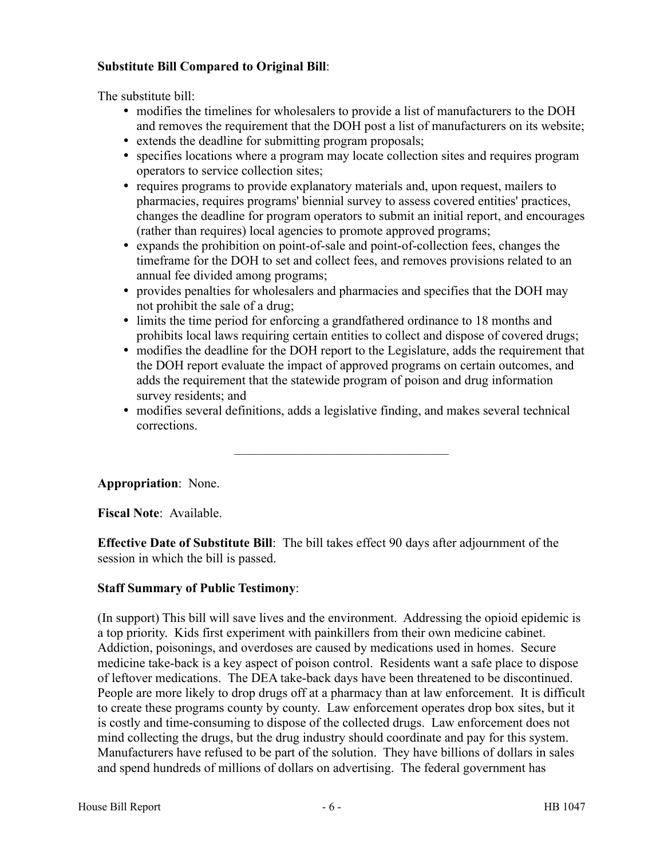# **Substitute Bill Compared to Original Bill**:

The substitute bill:

- modifies the timelines for wholesalers to provide a list of manufacturers to the DOH and removes the requirement that the DOH post a list of manufacturers on its website;
- extends the deadline for submitting program proposals;
- specifies locations where a program may locate collection sites and requires program operators to service collection sites;
- requires programs to provide explanatory materials and, upon request, mailers to pharmacies, requires programs' biennial survey to assess covered entities' practices, changes the deadline for program operators to submit an initial report, and encourages (rather than requires) local agencies to promote approved programs;
- expands the prohibition on point-of-sale and point-of-collection fees, changes the timeframe for the DOH to set and collect fees, and removes provisions related to an annual fee divided among programs;
- provides penalties for wholesalers and pharmacies and specifies that the DOH may not prohibit the sale of a drug;
- limits the time period for enforcing a grandfathered ordinance to 18 months and prohibits local laws requiring certain entities to collect and dispose of covered drugs;
- modifies the deadline for the DOH report to the Legislature, adds the requirement that the DOH report evaluate the impact of approved programs on certain outcomes, and adds the requirement that the statewide program of poison and drug information survey residents; and
- modifies several definitions, adds a legislative finding, and makes several technical corrections.

–––––––––––––––––––––––––––––––––

**Appropriation**: None.

**Fiscal Note**: Available.

**Effective Date of Substitute Bill**: The bill takes effect 90 days after adjournment of the session in which the bill is passed.

# **Staff Summary of Public Testimony**:

(In support) This bill will save lives and the environment. Addressing the opioid epidemic is a top priority. Kids first experiment with painkillers from their own medicine cabinet. Addiction, poisonings, and overdoses are caused by medications used in homes. Secure medicine take-back is a key aspect of poison control. Residents want a safe place to dispose of leftover medications. The DEA take-back days have been threatened to be discontinued. People are more likely to drop drugs off at a pharmacy than at law enforcement. It is difficult to create these programs county by county. Law enforcement operates drop box sites, but it is costly and time-consuming to dispose of the collected drugs. Law enforcement does not mind collecting the drugs, but the drug industry should coordinate and pay for this system. Manufacturers have refused to be part of the solution. They have billions of dollars in sales and spend hundreds of millions of dollars on advertising. The federal government has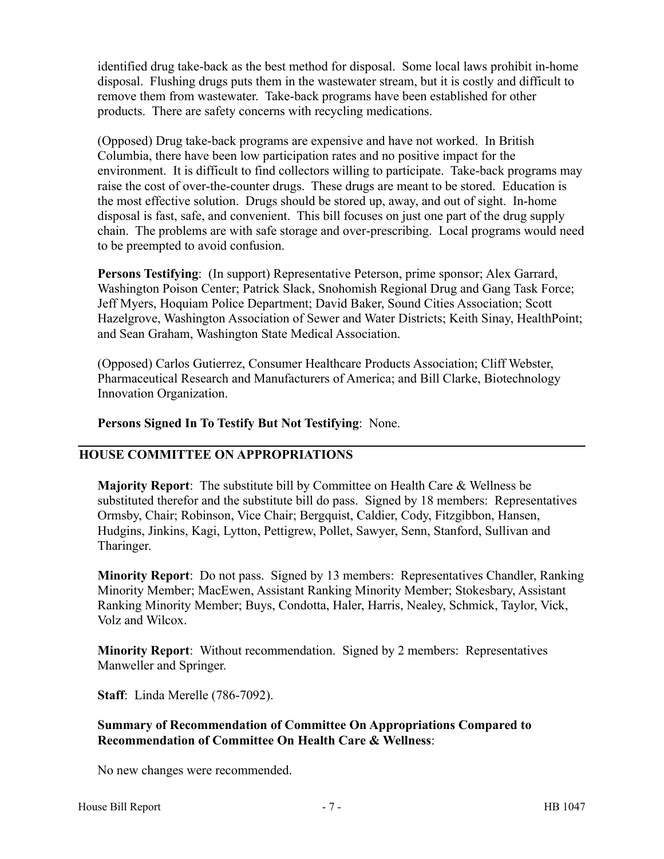identified drug take-back as the best method for disposal. Some local laws prohibit in-home disposal. Flushing drugs puts them in the wastewater stream, but it is costly and difficult to remove them from wastewater. Take-back programs have been established for other products. There are safety concerns with recycling medications.

(Opposed) Drug take-back programs are expensive and have not worked. In British Columbia, there have been low participation rates and no positive impact for the environment. It is difficult to find collectors willing to participate. Take-back programs may raise the cost of over-the-counter drugs. These drugs are meant to be stored. Education is the most effective solution. Drugs should be stored up, away, and out of sight. In-home disposal is fast, safe, and convenient. This bill focuses on just one part of the drug supply chain. The problems are with safe storage and over-prescribing. Local programs would need to be preempted to avoid confusion.

**Persons Testifying**: (In support) Representative Peterson, prime sponsor; Alex Garrard, Washington Poison Center; Patrick Slack, Snohomish Regional Drug and Gang Task Force; Jeff Myers, Hoquiam Police Department; David Baker, Sound Cities Association; Scott Hazelgrove, Washington Association of Sewer and Water Districts; Keith Sinay, HealthPoint; and Sean Graham, Washington State Medical Association.

(Opposed) Carlos Gutierrez, Consumer Healthcare Products Association; Cliff Webster, Pharmaceutical Research and Manufacturers of America; and Bill Clarke, Biotechnology Innovation Organization.

### **Persons Signed In To Testify But Not Testifying**: None.

# **HOUSE COMMITTEE ON APPROPRIATIONS**

**Majority Report**: The substitute bill by Committee on Health Care & Wellness be substituted therefor and the substitute bill do pass. Signed by 18 members: Representatives Ormsby, Chair; Robinson, Vice Chair; Bergquist, Caldier, Cody, Fitzgibbon, Hansen, Hudgins, Jinkins, Kagi, Lytton, Pettigrew, Pollet, Sawyer, Senn, Stanford, Sullivan and Tharinger.

**Minority Report**: Do not pass. Signed by 13 members: Representatives Chandler, Ranking Minority Member; MacEwen, Assistant Ranking Minority Member; Stokesbary, Assistant Ranking Minority Member; Buys, Condotta, Haler, Harris, Nealey, Schmick, Taylor, Vick, Volz and Wilcox.

**Minority Report**: Without recommendation. Signed by 2 members: Representatives Manweller and Springer.

**Staff**: Linda Merelle (786-7092).

### **Summary of Recommendation of Committee On Appropriations Compared to Recommendation of Committee On Health Care & Wellness**:

No new changes were recommended.